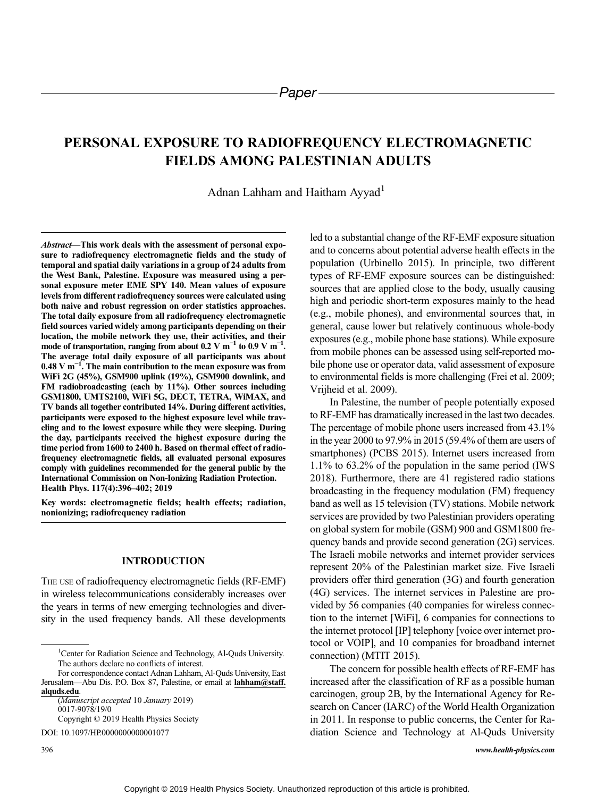# PERSONAL EXPOSURE TO RADIOFREQUENCY ELECTROMAGNETIC FIELDS AMONG PALESTINIAN ADULTS

# Adnan Lahham and Haitham Ayyad<sup>1</sup>

Abstract—This work deals with the assessment of personal exposure to radiofrequency electromagnetic fields and the study of temporal and spatial daily variations in a group of 24 adults from the West Bank, Palestine. Exposure was measured using a personal exposure meter EME SPY 140. Mean values of exposure levels from different radiofrequency sources were calculated using both naive and robust regression on order statistics approaches. The total daily exposure from all radiofrequency electromagnetic field sources varied widely among participants depending on their location, the mobile network they use, their activities, and their mode of transportation, ranging from about 0.2 V m<sup>-1</sup> to 0.9 V m<sup>-1</sup>. The average total daily exposure of all participants was about 0.48 V m<sup>-1</sup>. The main contribution to the mean exposure was from WiFi 2G (45%), GSM900 uplink (19%), GSM900 downlink, and FM radiobroadcasting (each by 11%). Other sources including GSM1800, UMTS2100, WiFi 5G, DECT, TETRA, WiMAX, and TV bands all together contributed 14%. During different activities, participants were exposed to the highest exposure level while traveling and to the lowest exposure while they were sleeping. During the day, participants received the highest exposure during the time period from 1600 to 2400 h. Based on thermal effect of radiofrequency electromagnetic fields, all evaluated personal exposures comply with guidelines recommended for the general public by the International Commission on Non-Ionizing Radiation Protection. Health Phys. 117(4):396–402; 2019

Key words: electromagnetic fields; health effects; radiation, nonionizing; radiofrequency radiation

#### INTRODUCTION

THE USE of radiofrequency electromagnetic fields (RF-EMF) in wireless telecommunications considerably increases over the years in terms of new emerging technologies and diversity in the used frequency bands. All these developments

Copyright © 2019 Health Physics Society

DOI: 10.1097/HP.0000000000001077

led to a substantial change of the RF-EMF exposure situation and to concerns about potential adverse health effects in the population (Urbinello 2015). In principle, two different types of RF-EMF exposure sources can be distinguished: sources that are applied close to the body, usually causing high and periodic short-term exposures mainly to the head (e.g., mobile phones), and environmental sources that, in general, cause lower but relatively continuous whole-body exposures (e.g., mobile phone base stations). While exposure from mobile phones can be assessed using self-reported mobile phone use or operator data, valid assessment of exposure to environmental fields is more challenging (Frei et al. 2009; Vrijheid et al. 2009).

In Palestine, the number of people potentially exposed to RF-EMF has dramatically increased in the last two decades. The percentage of mobile phone users increased from 43.1% in the year 2000 to 97.9% in 2015 (59.4% of them are users of smartphones) (PCBS 2015). Internet users increased from 1.1% to 63.2% of the population in the same period (IWS 2018). Furthermore, there are 41 registered radio stations broadcasting in the frequency modulation (FM) frequency band as well as 15 television (TV) stations. Mobile network services are provided by two Palestinian providers operating on global system for mobile (GSM) 900 and GSM1800 frequency bands and provide second generation (2G) services. The Israeli mobile networks and internet provider services represent 20% of the Palestinian market size. Five Israeli providers offer third generation (3G) and fourth generation (4G) services. The internet services in Palestine are provided by 56 companies (40 companies for wireless connection to the internet [WiFi], 6 companies for connections to the internet protocol [IP] telephony [voice over internet protocol or VOIP], and 10 companies for broadband internet connection) (MTIT 2015).

The concern for possible health effects of RF-EMF has increased after the classification of RF as a possible human carcinogen, group 2B, by the International Agency for Research on Cancer (IARC) of the World Health Organization in 2011. In response to public concerns, the Center for Radiation Science and Technology at Al-Quds University

<sup>&</sup>lt;sup>1</sup>Center for Radiation Science and Technology, Al-Quds University. The authors declare no conflicts of interest.

For correspondence contact Adnan Lahham, Al-Quds University, East Jerusalem—Abu Dis. P.O. Box 87, Palestine, or email at [lahham@staff.](mailto:lahham@staff.alquds.edu) [alquds.edu](mailto:lahham@staff.alquds.edu).

<sup>(</sup>Manuscript accepted 10 January 2019) 0017-9078/19/0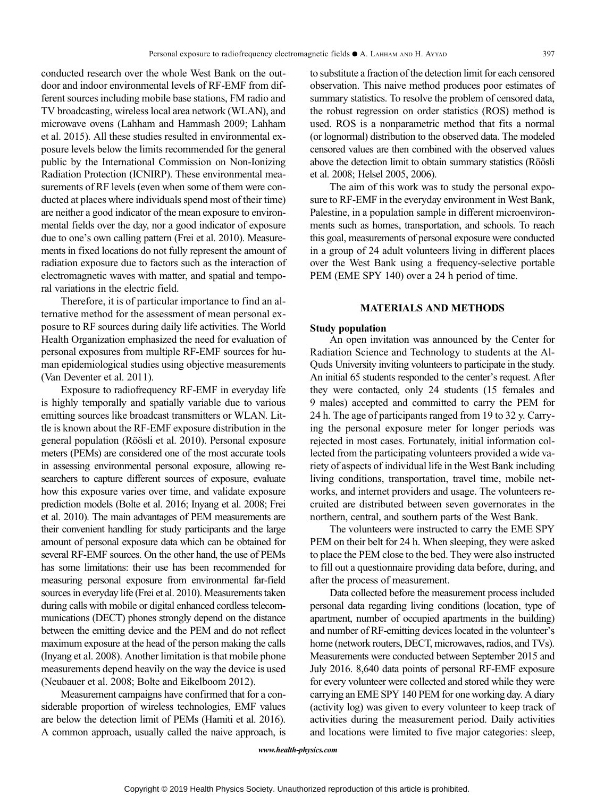conducted research over the whole West Bank on the outdoor and indoor environmental levels of RF-EMF from different sources including mobile base stations, FM radio and TV broadcasting, wireless local area network (WLAN), and microwave ovens (Lahham and Hammash 2009; Lahham et al. 2015). All these studies resulted in environmental exposure levels below the limits recommended for the general public by the International Commission on Non-Ionizing Radiation Protection (ICNIRP). These environmental measurements of RF levels (even when some of them were conducted at places where individuals spend most of their time) are neither a good indicator of the mean exposure to environmental fields over the day, nor a good indicator of exposure due to one's own calling pattern (Frei et al. 2010). Measurements in fixed locations do not fully represent the amount of radiation exposure due to factors such as the interaction of electromagnetic waves with matter, and spatial and temporal variations in the electric field.

Therefore, it is of particular importance to find an alternative method for the assessment of mean personal exposure to RF sources during daily life activities. The World Health Organization emphasized the need for evaluation of personal exposures from multiple RF-EMF sources for human epidemiological studies using objective measurements (Van Deventer et al. 2011).

Exposure to radiofrequency RF-EMF in everyday life is highly temporally and spatially variable due to various emitting sources like broadcast transmitters or WLAN. Little is known about the RF-EMF exposure distribution in the general population (Röösli et al. 2010). Personal exposure meters (PEMs) are considered one of the most accurate tools in assessing environmental personal exposure, allowing researchers to capture different sources of exposure, evaluate how this exposure varies over time, and validate exposure prediction models (Bolte et al. 2016; Inyang et al. 2008; Frei et al. 2010). The main advantages of PEM measurements are their convenient handling for study participants and the large amount of personal exposure data which can be obtained for several RF-EMF sources. On the other hand, the use of PEMs has some limitations: their use has been recommended for measuring personal exposure from environmental far-field sources in everyday life (Frei et al. 2010). Measurements taken during calls with mobile or digital enhanced cordless telecommunications (DECT) phones strongly depend on the distance between the emitting device and the PEM and do not reflect maximum exposure at the head of the person making the calls (Inyang et al. 2008). Another limitation is that mobile phone measurements depend heavily on the way the device is used (Neubauer et al. 2008; Bolte and Eikelboom 2012).

Measurement campaigns have confirmed that for a considerable proportion of wireless technologies, EMF values are below the detection limit of PEMs (Hamiti et al. 2016). A common approach, usually called the naive approach, is to substitute a fraction of the detection limit for each censored observation. This naive method produces poor estimates of summary statistics. To resolve the problem of censored data, the robust regression on order statistics (ROS) method is used. ROS is a nonparametric method that fits a normal (or lognormal) distribution to the observed data. The modeled censored values are then combined with the observed values above the detection limit to obtain summary statistics (Röösli et al. 2008; Helsel 2005, 2006).

The aim of this work was to study the personal exposure to RF-EMF in the everyday environment in West Bank, Palestine, in a population sample in different microenvironments such as homes, transportation, and schools. To reach this goal, measurements of personal exposure were conducted in a group of 24 adult volunteers living in different places over the West Bank using a frequency-selective portable PEM (EME SPY 140) over a 24 h period of time.

## MATERIALS AND METHODS

## Study population

An open invitation was announced by the Center for Radiation Science and Technology to students at the Al-Quds University inviting volunteers to participate in the study. An initial 65 students responded to the center's request. After they were contacted, only 24 students (15 females and 9 males) accepted and committed to carry the PEM for 24 h. The age of participants ranged from 19 to 32 y. Carrying the personal exposure meter for longer periods was rejected in most cases. Fortunately, initial information collected from the participating volunteers provided a wide variety of aspects of individual life in the West Bank including living conditions, transportation, travel time, mobile networks, and internet providers and usage. The volunteers recruited are distributed between seven governorates in the northern, central, and southern parts of the West Bank.

The volunteers were instructed to carry the EME SPY PEM on their belt for 24 h. When sleeping, they were asked to place the PEM close to the bed. They were also instructed to fill out a questionnaire providing data before, during, and after the process of measurement.

Data collected before the measurement process included personal data regarding living conditions (location, type of apartment, number of occupied apartments in the building) and number of RF-emitting devices located in the volunteer's home (network routers, DECT, microwaves, radios, and TVs). Measurements were conducted between September 2015 and July 2016. 8,640 data points of personal RF-EMF exposure for every volunteer were collected and stored while they were carrying an EME SPY 140 PEM for one working day. A diary (activity log) was given to every volunteer to keep track of activities during the measurement period. Daily activities and locations were limited to five major categories: sleep,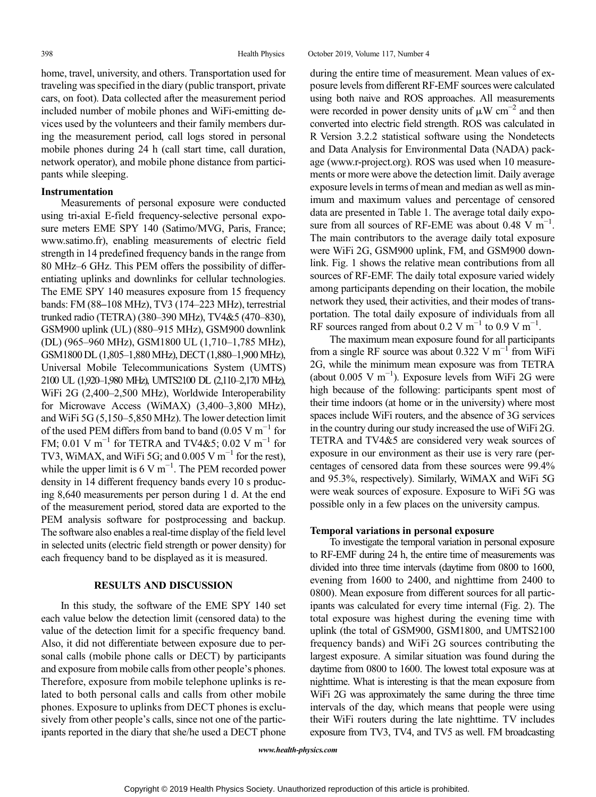home, travel, university, and others. Transportation used for traveling was specified in the diary (public transport, private cars, on foot). Data collected after the measurement period included number of mobile phones and WiFi-emitting devices used by the volunteers and their family members during the measurement period, call logs stored in personal mobile phones during 24 h (call start time, call duration, network operator), and mobile phone distance from participants while sleeping.

## Instrumentation

Measurements of personal exposure were conducted using tri-axial E-field frequency-selective personal exposure meters EME SPY 140 (Satimo/MVG, Paris, France; www.satimo.fr), enabling measurements of electric field strength in 14 predefined frequency bands in the range from 80 MHz–6 GHz. This PEM offers the possibility of differentiating uplinks and downlinks for cellular technologies. The EME SPY 140 measures exposure from 15 frequency bands: FM (88–108 MHz), TV3 (174–223 MHz), terrestrial trunked radio (TETRA) (380–390 MHz), TV4&5 (470–830), GSM900 uplink (UL) (880–915 MHz), GSM900 downlink (DL) (965–960 MHz), GSM1800 UL (1,710–1,785 MHz), GSM1800 DL (1,805–1,880MHz), DECT (1,880–1,900MHz), Universal Mobile Telecommunications System (UMTS) 2100 UL (1,920–1,980 MHz), UMTS2100 DL (2,110–2,170 MHz), WiFi 2G (2,400–2,500 MHz), Worldwide Interoperability for Microwave Access (WiMAX) (3,400–3,800 MHz), and WiFi 5G (5,150–5,850 MHz). The lower detection limit of the used PEM differs from band to band (0.05 V m<sup>-1</sup> for FM; 0.01 V m<sup>-1</sup> for TETRA and TV4&5; 0.02 V m<sup>-1</sup> for TV3, WiMAX, and WiFi 5G; and 0.005 V m<sup> $^{-1}$ </sup> for the rest), while the upper limit is  $6 \text{ V m}^{-1}$ . The PEM recorded power density in 14 different frequency bands every 10 s producing 8,640 measurements per person during 1 d. At the end of the measurement period, stored data are exported to the PEM analysis software for postprocessing and backup. The software also enables a real-time display of the field level in selected units (electric field strength or power density) for each frequency band to be displayed as it is measured.

#### RESULTS AND DISCUSSION

In this study, the software of the EME SPY 140 set each value below the detection limit (censored data) to the value of the detection limit for a specific frequency band. Also, it did not differentiate between exposure due to personal calls (mobile phone calls or DECT) by participants and exposure from mobile calls from other people's phones. Therefore, exposure from mobile telephone uplinks is related to both personal calls and calls from other mobile phones. Exposure to uplinks from DECT phones is exclusively from other people's calls, since not one of the participants reported in the diary that she/he used a DECT phone during the entire time of measurement. Mean values of exposure levels from different RF-EMF sources were calculated using both naive and ROS approaches. All measurements were recorded in power density units of  $\mu$ W cm<sup>-2</sup> and then converted into electric field strength. ROS was calculated in R Version 3.2.2 statistical software using the Nondetects and Data Analysis for Environmental Data (NADA) package (www.r-project.org). ROS was used when 10 measurements or more were above the detection limit. Daily average exposure levels in terms of mean and median as well as minimum and maximum values and percentage of censored data are presented in Table 1. The average total daily exposure from all sources of RF-EME was about  $0.48$  V m<sup>-1</sup>. The main contributors to the average daily total exposure were WiFi 2G, GSM900 uplink, FM, and GSM900 downlink. Fig. 1 shows the relative mean contributions from all sources of RF-EMF. The daily total exposure varied widely among participants depending on their location, the mobile network they used, their activities, and their modes of transportation. The total daily exposure of individuals from all RF sources ranged from about 0.2 V m<sup>-1</sup> to 0.9 V m<sup>-1</sup>.

The maximum mean exposure found for all participants from a single RF source was about 0.322 V m<sup>-1</sup> from WiFi 2G, while the minimum mean exposure was from TETRA (about 0.005 V m−<sup>1</sup> ). Exposure levels from WiFi 2G were high because of the following: participants spent most of their time indoors (at home or in the university) where most spaces include WiFi routers, and the absence of 3G services in the country during our study increased the use of WiFi 2G. TETRA and TV4&5 are considered very weak sources of exposure in our environment as their use is very rare (percentages of censored data from these sources were 99.4% and 95.3%, respectively). Similarly, WiMAX and WiFi 5G were weak sources of exposure. Exposure to WiFi 5G was possible only in a few places on the university campus.

#### Temporal variations in personal exposure

To investigate the temporal variation in personal exposure to RF-EMF during 24 h, the entire time of measurements was divided into three time intervals (daytime from 0800 to 1600, evening from 1600 to 2400, and nighttime from 2400 to 0800). Mean exposure from different sources for all participants was calculated for every time internal (Fig. 2). The total exposure was highest during the evening time with uplink (the total of GSM900, GSM1800, and UMTS2100 frequency bands) and WiFi 2G sources contributing the largest exposure. A similar situation was found during the daytime from 0800 to 1600. The lowest total exposure was at nighttime. What is interesting is that the mean exposure from WiFi 2G was approximately the same during the three time intervals of the day, which means that people were using their WiFi routers during the late nighttime. TV includes exposure from TV3, TV4, and TV5 as well. FM broadcasting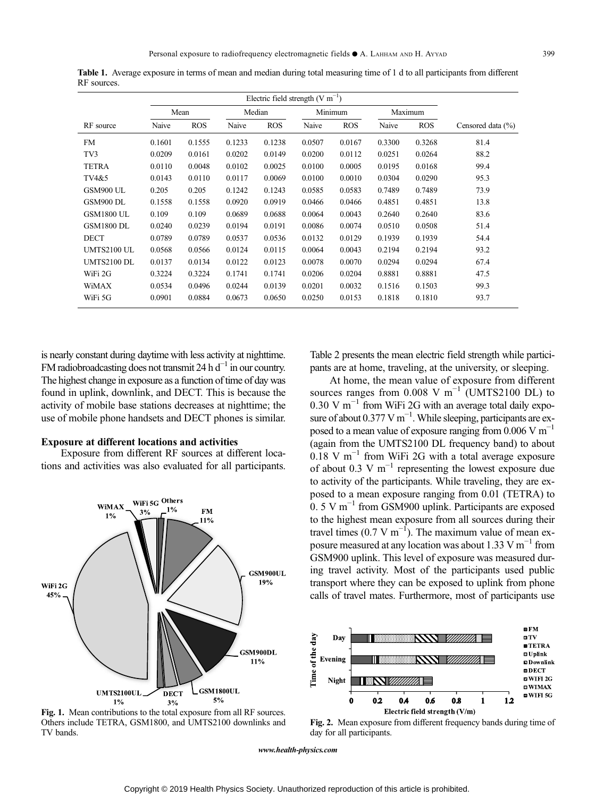|                   | Mean   |            | Median |            | Minimum |            | Maximum |            |                       |  |
|-------------------|--------|------------|--------|------------|---------|------------|---------|------------|-----------------------|--|
| RF source         | Naive  | <b>ROS</b> | Naive  | <b>ROS</b> | Naive   | <b>ROS</b> | Naive   | <b>ROS</b> | Censored data $(\% )$ |  |
| <b>FM</b>         | 0.1601 | 0.1555     | 0.1233 | 0.1238     | 0.0507  | 0.0167     | 0.3300  | 0.3268     | 81.4                  |  |
| TV3               | 0.0209 | 0.0161     | 0.0202 | 0.0149     | 0.0200  | 0.0112     | 0.0251  | 0.0264     | 88.2                  |  |
| <b>TETRA</b>      | 0.0110 | 0.0048     | 0.0102 | 0.0025     | 0.0100  | 0.0005     | 0.0195  | 0.0168     | 99.4                  |  |
| TV4&5             | 0.0143 | 0.0110     | 0.0117 | 0.0069     | 0.0100  | 0.0010     | 0.0304  | 0.0290     | 95.3                  |  |
| GSM900 UL         | 0.205  | 0.205      | 0.1242 | 0.1243     | 0.0585  | 0.0583     | 0.7489  | 0.7489     | 73.9                  |  |
| GSM900 DL         | 0.1558 | 0.1558     | 0.0920 | 0.0919     | 0.0466  | 0.0466     | 0.4851  | 0.4851     | 13.8                  |  |
| <b>GSM1800 UL</b> | 0.109  | 0.109      | 0.0689 | 0.0688     | 0.0064  | 0.0043     | 0.2640  | 0.2640     | 83.6                  |  |
| <b>GSM1800 DL</b> | 0.0240 | 0.0239     | 0.0194 | 0.0191     | 0.0086  | 0.0074     | 0.0510  | 0.0508     | 51.4                  |  |
| <b>DECT</b>       | 0.0789 | 0.0789     | 0.0537 | 0.0536     | 0.0132  | 0.0129     | 0.1939  | 0.1939     | 54.4                  |  |
| UMTS2100 UL       | 0.0568 | 0.0566     | 0.0124 | 0.0115     | 0.0064  | 0.0043     | 0.2194  | 0.2194     | 93.2                  |  |
| UMTS2100 DL       | 0.0137 | 0.0134     | 0.0122 | 0.0123     | 0.0078  | 0.0070     | 0.0294  | 0.0294     | 67.4                  |  |
| WiFi 2G           | 0.3224 | 0.3224     | 0.1741 | 0.1741     | 0.0206  | 0.0204     | 0.8881  | 0.8881     | 47.5                  |  |
| WiMAX             | 0.0534 | 0.0496     | 0.0244 | 0.0139     | 0.0201  | 0.0032     | 0.1516  | 0.1503     | 99.3                  |  |
| WiFi 5G           | 0.0901 | 0.0884     | 0.0673 | 0.0650     | 0.0250  | 0.0153     | 0.1818  | 0.1810     | 93.7                  |  |

Table 1. Average exposure in terms of mean and median during total measuring time of 1 d to all participants from different RF sources.

is nearly constant during daytime with less activity at nighttime. FM radiobroadcasting does not transmit 24 h  $d^{-1}$  in our country. The highest change in exposure as a function of time of day was found in uplink, downlink, and DECT. This is because the activity of mobile base stations decreases at nighttime; the use of mobile phone handsets and DECT phones is similar.

#### Exposure at different locations and activities

Exposure from different RF sources at different locations and activities was also evaluated for all participants.



Fig. 1. Mean contributions to the total exposure from all RF sources. Others include TETRA, GSM1800, and UMTS2100 downlinks and TV bands.

Table 2 presents the mean electric field strength while participants are at home, traveling, at the university, or sleeping.

At home, the mean value of exposure from different sources ranges from  $0.008$  V m<sup>-1</sup> (UMTS2100 DL) to 0.30 V m<sup> $-1$ </sup> from WiFi 2G with an average total daily exposure of about  $0.377 \text{ V m}^{-1}$ . While sleeping, participants are exposed to a mean value of exposure ranging from  $0.006$  V m<sup>-1</sup> (again from the UMTS2100 DL frequency band) to about  $0.18$  V m<sup>-1</sup> from WiFi 2G with a total average exposure of about 0.3 V m<sup> $-1$ </sup> representing the lowest exposure due to activity of the participants. While traveling, they are exposed to a mean exposure ranging from 0.01 (TETRA) to 0. 5 V m−<sup>1</sup> from GSM900 uplink. Participants are exposed to the highest mean exposure from all sources during their travel times  $(0.7 \text{ V m}^{-1})$ . The maximum value of mean exposure measured at any location was about 1.33 V m<sup>-1</sup> from GSM900 uplink. This level of exposure was measured during travel activity. Most of the participants used public transport where they can be exposed to uplink from phone calls of travel mates. Furthermore, most of participants use



Fig. 2. Mean exposure from different frequency bands during time of day for all participants.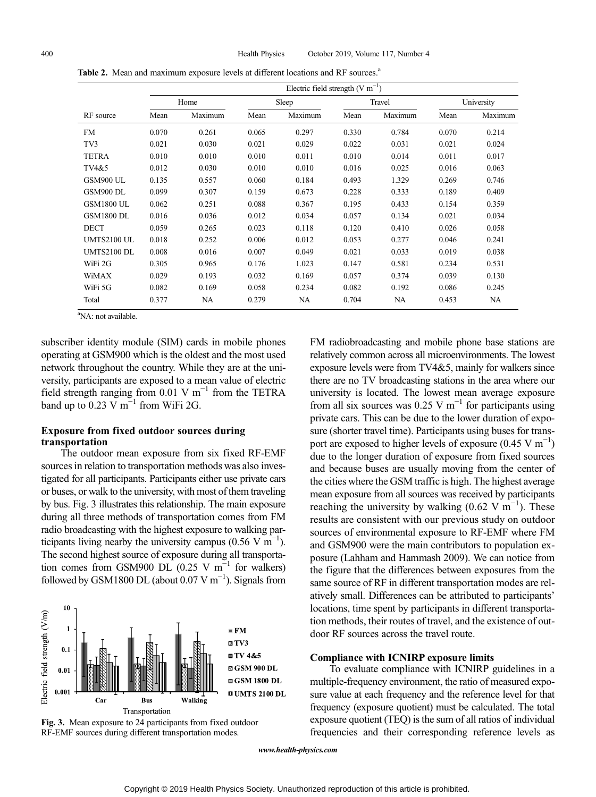|                    | Electric field strength $(V m^{-1})$ |         |       |         |        |         |            |         |  |  |  |
|--------------------|--------------------------------------|---------|-------|---------|--------|---------|------------|---------|--|--|--|
|                    | Home                                 |         |       | Sleep   | Travel |         | University |         |  |  |  |
| RF source          | Mean                                 | Maximum | Mean  | Maximum | Mean   | Maximum | Mean       | Maximum |  |  |  |
| FM                 | 0.070                                | 0.261   | 0.065 | 0.297   | 0.330  | 0.784   | 0.070      | 0.214   |  |  |  |
| TV3                | 0.021                                | 0.030   | 0.021 | 0.029   | 0.022  | 0.031   | 0.021      | 0.024   |  |  |  |
| <b>TETRA</b>       | 0.010                                | 0.010   | 0.010 | 0.011   | 0.010  | 0.014   | 0.011      | 0.017   |  |  |  |
| TV4&5              | 0.012                                | 0.030   | 0.010 | 0.010   | 0.016  | 0.025   | 0.016      | 0.063   |  |  |  |
| GSM900 UL          | 0.135                                | 0.557   | 0.060 | 0.184   | 0.493  | 1.329   | 0.269      | 0.746   |  |  |  |
| GSM900 DL          | 0.099                                | 0.307   | 0.159 | 0.673   | 0.228  | 0.333   | 0.189      | 0.409   |  |  |  |
| <b>GSM1800 UL</b>  | 0.062                                | 0.251   | 0.088 | 0.367   | 0.195  | 0.433   | 0.154      | 0.359   |  |  |  |
| <b>GSM1800 DL</b>  | 0.016                                | 0.036   | 0.012 | 0.034   | 0.057  | 0.134   | 0.021      | 0.034   |  |  |  |
| <b>DECT</b>        | 0.059                                | 0.265   | 0.023 | 0.118   | 0.120  | 0.410   | 0.026      | 0.058   |  |  |  |
| UMTS2100 UL        | 0.018                                | 0.252   | 0.006 | 0.012   | 0.053  | 0.277   | 0.046      | 0.241   |  |  |  |
| <b>UMTS2100 DL</b> | 0.008                                | 0.016   | 0.007 | 0.049   | 0.021  | 0.033   | 0.019      | 0.038   |  |  |  |
| WiFi 2G            | 0.305                                | 0.965   | 0.176 | 1.023   | 0.147  | 0.581   | 0.234      | 0.531   |  |  |  |
| WiMAX              | 0.029                                | 0.193   | 0.032 | 0.169   | 0.057  | 0.374   | 0.039      | 0.130   |  |  |  |
| WiFi 5G            | 0.082                                | 0.169   | 0.058 | 0.234   | 0.082  | 0.192   | 0.086      | 0.245   |  |  |  |
| Total              | 0.377                                | NA      | 0.279 | NA      | 0.704  | NA      | 0.453      | NA      |  |  |  |

Table 2. Mean and maximum exposure levels at different locations and RF sources.<sup>a</sup>

<sup>a</sup>NA: not available.

subscriber identity module (SIM) cards in mobile phones operating at GSM900 which is the oldest and the most used network throughout the country. While they are at the university, participants are exposed to a mean value of electric field strength ranging from 0.01 V  $m^{-1}$  from the TETRA band up to  $0.23$  V m<sup>-1</sup> from WiFi 2G.

# Exposure from fixed outdoor sources during transportation

The outdoor mean exposure from six fixed RF-EMF sources in relation to transportation methods was also investigated for all participants. Participants either use private cars or buses, or walk to the university, with most of them traveling by bus. Fig. 3 illustrates this relationship. The main exposure during all three methods of transportation comes from FM radio broadcasting with the highest exposure to walking participants living nearby the university campus (0.56 V m<sup>-1</sup>). The second highest source of exposure during all transportation comes from GSM900 DL (0.25 V m<sup>-1</sup> for walkers) followed by GSM1800 DL (about  $0.07 \text{ V m}^{-1}$ ). Signals from





FM radiobroadcasting and mobile phone base stations are relatively common across all microenvironments. The lowest exposure levels were from TV4&5, mainly for walkers since there are no TV broadcasting stations in the area where our university is located. The lowest mean average exposure from all six sources was 0.25 V m<sup>-1</sup> for participants using private cars. This can be due to the lower duration of exposure (shorter travel time). Participants using buses for transport are exposed to higher levels of exposure  $(0.45 \text{ V m}^{-1})$ due to the longer duration of exposure from fixed sources and because buses are usually moving from the center of the cities where the GSM traffic is high. The highest average mean exposure from all sources was received by participants reaching the university by walking  $(0.62 \text{ V m}^{-1})$ . These results are consistent with our previous study on outdoor sources of environmental exposure to RF-EMF where FM and GSM900 were the main contributors to population exposure (Lahham and Hammash 2009). We can notice from the figure that the differences between exposures from the same source of RF in different transportation modes are relatively small. Differences can be attributed to participants' locations, time spent by participants in different transportation methods, their routes of travel, and the existence of outdoor RF sources across the travel route.

#### Compliance with ICNIRP exposure limits

To evaluate compliance with ICNIRP guidelines in a multiple-frequency environment, the ratio of measured exposure value at each frequency and the reference level for that frequency (exposure quotient) must be calculated. The total exposure quotient (TEQ) is the sum of all ratios of individual frequencies and their corresponding reference levels as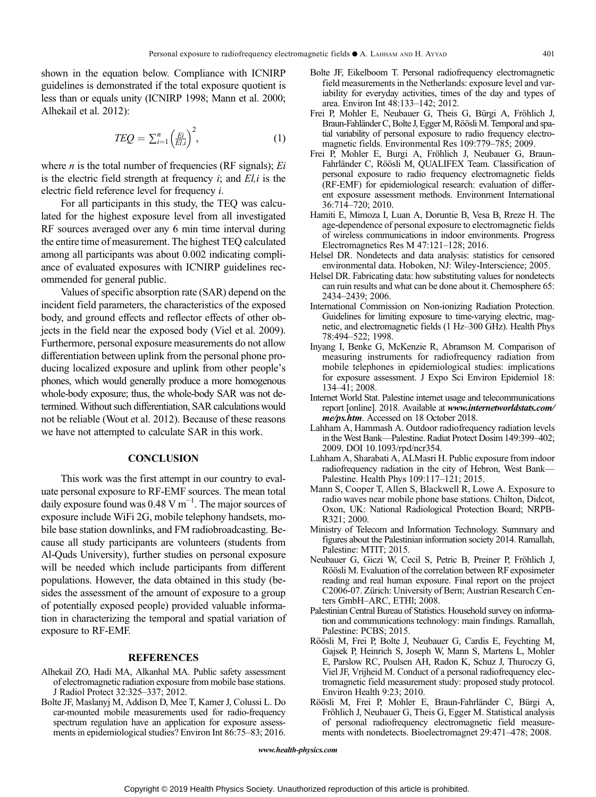shown in the equation below. Compliance with ICNIRP guidelines is demonstrated if the total exposure quotient is less than or equals unity (ICNIRP 1998; Mann et al. 2000; Alhekail et al. 2012):

$$
TEQ = \sum_{i=1}^{n} \left(\frac{Ei}{EI,i}\right)^2,\tag{1}
$$

where  $n$  is the total number of frequencies (RF signals);  $E_i$ is the electric field strength at frequency  $i$ ; and  $El$ ,  $i$  is the electric field reference level for frequency i.

For all participants in this study, the TEQ was calculated for the highest exposure level from all investigated RF sources averaged over any 6 min time interval during the entire time of measurement. The highest TEQ calculated among all participants was about 0.002 indicating compliance of evaluated exposures with ICNIRP guidelines recommended for general public.

Values of specific absorption rate (SAR) depend on the incident field parameters, the characteristics of the exposed body, and ground effects and reflector effects of other objects in the field near the exposed body (Viel et al. 2009). Furthermore, personal exposure measurements do not allow differentiation between uplink from the personal phone producing localized exposure and uplink from other people's phones, which would generally produce a more homogenous whole-body exposure; thus, the whole-body SAR was not determined.Without such differentiation, SAR calculations would not be reliable (Wout et al. 2012). Because of these reasons we have not attempted to calculate SAR in this work.

#### **CONCLUSION**

This work was the first attempt in our country to evaluate personal exposure to RF-EMF sources. The mean total daily exposure found was 0.48 V m−<sup>1</sup> . The major sources of exposure include WiFi 2G, mobile telephony handsets, mobile base station downlinks, and FM radiobroadcasting. Because all study participants are volunteers (students from Al-Quds University), further studies on personal exposure will be needed which include participants from different populations. However, the data obtained in this study (besides the assessment of the amount of exposure to a group of potentially exposed people) provided valuable information in characterizing the temporal and spatial variation of exposure to RF-EMF.

#### **REFERENCES**

- Alhekail ZO, Hadi MA, Alkanhal MA. Public safety assessment of electromagnetic radiation exposure from mobile base stations. J Radiol Protect 32:325–337; 2012.
- Bolte JF, Maslanyj M, Addison D, Mee T, Kamer J, Colussi L. Do car-mounted mobile measurements used for radio-frequency spectrum regulation have an application for exposure assessments in epidemiological studies? Environ Int 86:75–83; 2016.
- Bolte JF, Eikelboom T. Personal radiofrequency electromagnetic field measurements in the Netherlands: exposure level and variability for everyday activities, times of the day and types of area. Environ Int 48:133–142; 2012.
- Frei P, Mohler E, Neubauer G, Theis G, Bürgi A, Fröhlich J, Braun-Fahländer C, Bolte J, Egger M, Röösli M. Temporal and spatial variability of personal exposure to radio frequency electromagnetic fields. Environmental Res 109:779–785; 2009.
- Frei P, Mohler E, Burgi A, Fröhlich J, Neubauer G, Braun-Fahrländer C, Röösli M, QUALIFEX Team. Classification of personal exposure to radio frequency electromagnetic fields (RF-EMF) for epidemiological research: evaluation of different exposure assessment methods. Environment International 36:714–720; 2010.
- Hamiti E, Mimoza I, Luan A, Doruntie B, Vesa B, Rreze H. The age-dependence of personal exposure to electromagnetic fields of wireless communications in indoor environments. Progress Electromagnetics Res M 47:121–128; 2016.
- Helsel DR. Nondetects and data analysis: statistics for censored environmental data. Hoboken, NJ: Wiley-Interscience; 2005.
- Helsel DR. Fabricating data: how substituting values for nondetects can ruin results and what can be done about it. Chemosphere 65: 2434–2439; 2006.
- International Commission on Non-ionizing Radiation Protection. Guidelines for limiting exposure to time-varying electric, magnetic, and electromagnetic fields (1 Hz–300 GHz). Health Phys 78:494–522; 1998.
- Inyang I, Benke G, McKenzie R, Abramson M. Comparison of measuring instruments for radiofrequency radiation from mobile telephones in epidemiological studies: implications for exposure assessment. J Expo Sci Environ Epidemiol 18: 134–41; 2008.
- Internet World Stat. Palestine internet usage and telecommunications report [online]. 2018. Available at www.internetworldstats.com/ me/ps.htm. Accessed on 18 October 2018.
- Lahham A, Hammash A. Outdoor radiofrequency radiation levels in the West Bank—Palestine. Radiat Protect Dosim 149:399–402; 2009. DOI 10.1093/rpd/ncr354.
- Lahham A, Sharabati A, ALMasri H. Public exposure from indoor radiofrequency radiation in the city of Hebron, West Bank— Palestine. Health Phys 109:117–121; 2015.
- Mann S, Cooper T, Allen S, Blackwell R, Lowe A. Exposure to radio waves near mobile phone base stations. Chilton, Didcot, Oxon, UK: National Radiological Protection Board; NRPB-R321; 2000.
- Ministry of Telecom and Information Technology. Summary and figures about the Palestinian information society 2014. Ramallah, Palestine: MTIT; 2015.
- Neubauer G, Giczi W, Cecil S, Petric B, Preiner P, Fröhlich J, Röösli M. Evaluation of the correlation between RF exposimeter reading and real human exposure. Final report on the project C2006-07. Zürich: University of Bern; Austrian Research Centers GmbH–ARC, ETHl; 2008.
- Palestinian Central Bureau of Statistics. Household survey on information and communications technology: main findings. Ramallah, Palestine: PCBS; 2015.
- Röösli M, Frei P, Bolte J, Neubauer G, Cardis E, Feychting M, Gajsek P, Heinrich S, Joseph W, Mann S, Martens L, Mohler E, Parslow RC, Poulsen AH, Radon K, Schuz J, Thuroczy G, Viel JF, Vrijheid M. Conduct of a personal radiofrequency electromagnetic field measurement study: proposed study protocol. Environ Health 9:23; 2010.
- Röösli M, Frei P, Mohler E, Braun-Fahrländer C, Bürgi A, Fröhlich J, Neubauer G, Theis G, Egger M. Statistical analysis of personal radiofrequency electromagnetic field measurements with nondetects. Bioelectromagnet 29:471–478; 2008.